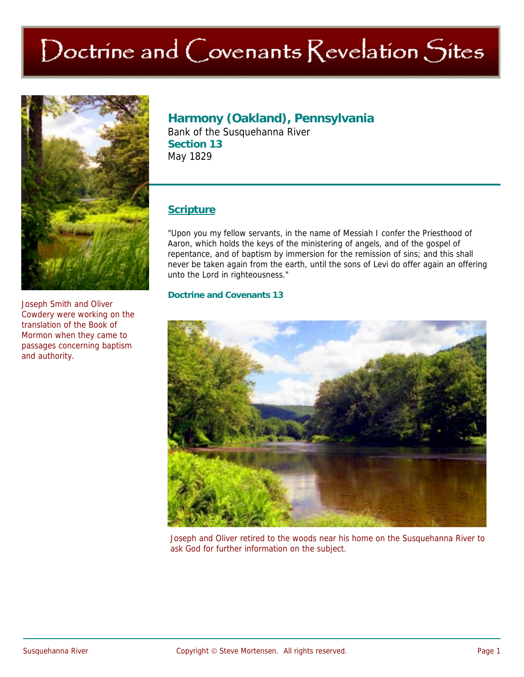# Doctrine and Covenants Revelation Sites



Joseph Smith and Oliver Cowdery were working on the translation of the Book of Mormon when they came to passages concerning baptism and authority.

## **Harmony (Oakland), Pennsylvania**

Bank of the Susquehanna River **Section 13**  May 1829

### **Scripture**

"Upon you my fellow servants, in the name of Messiah I confer the Priesthood of Aaron, which holds the keys of the ministering of angels, and of the gospel of repentance, and of baptism by immersion for the remission of sins; and this shall never be taken again from the earth, until the sons of Levi do offer again an offering unto the Lord in righteousness."

#### **Doctrine and Covenants 13**



Joseph and Oliver retired to the woods near his home on the Susquehanna River to ask God for further information on the subject.